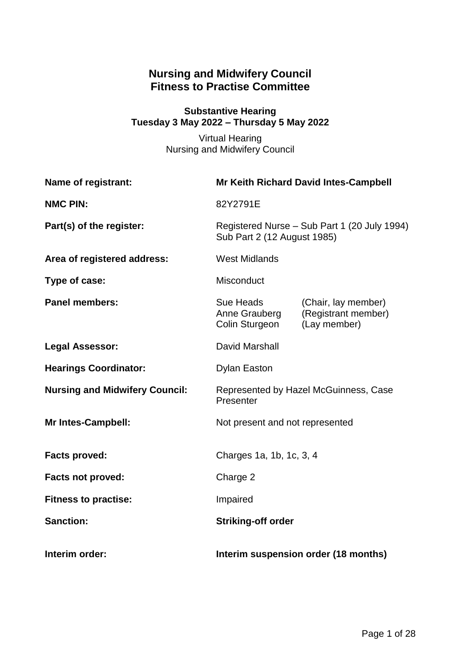# **Nursing and Midwifery Council Fitness to Practise Committee**

## **Substantive Hearing Tuesday 3 May 2022 – Thursday 5 May 2022**

Virtual Hearing Nursing and Midwifery Council

| Name of registrant:                   | Mr Keith Richard David Intes-Campbell                                       |                                                            |
|---------------------------------------|-----------------------------------------------------------------------------|------------------------------------------------------------|
| <b>NMC PIN:</b>                       | 82Y2791E                                                                    |                                                            |
| Part(s) of the register:              | Registered Nurse - Sub Part 1 (20 July 1994)<br>Sub Part 2 (12 August 1985) |                                                            |
| Area of registered address:           | <b>West Midlands</b>                                                        |                                                            |
| Type of case:                         | Misconduct                                                                  |                                                            |
| <b>Panel members:</b>                 | Sue Heads<br>Anne Grauberg<br>Colin Sturgeon                                | (Chair, lay member)<br>(Registrant member)<br>(Lay member) |
| <b>Legal Assessor:</b>                | David Marshall                                                              |                                                            |
| <b>Hearings Coordinator:</b>          | <b>Dylan Easton</b>                                                         |                                                            |
| <b>Nursing and Midwifery Council:</b> | Represented by Hazel McGuinness, Case<br>Presenter                          |                                                            |
| <b>Mr Intes-Campbell:</b>             | Not present and not represented                                             |                                                            |
| <b>Facts proved:</b>                  | Charges 1a, 1b, 1c, 3, 4                                                    |                                                            |
| <b>Facts not proved:</b>              | Charge 2                                                                    |                                                            |
| <b>Fitness to practise:</b>           | Impaired                                                                    |                                                            |
| <b>Sanction:</b>                      | <b>Striking-off order</b>                                                   |                                                            |
| Interim order:                        | Interim suspension order (18 months)                                        |                                                            |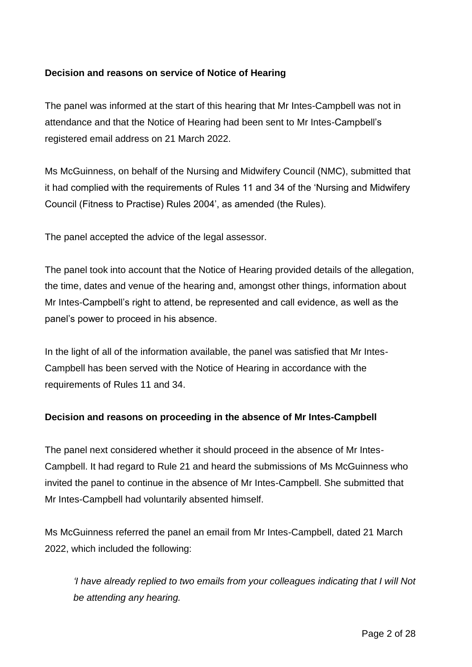#### **Decision and reasons on service of Notice of Hearing**

The panel was informed at the start of this hearing that Mr Intes-Campbell was not in attendance and that the Notice of Hearing had been sent to Mr Intes-Campbell's registered email address on 21 March 2022.

Ms McGuinness, on behalf of the Nursing and Midwifery Council (NMC), submitted that it had complied with the requirements of Rules 11 and 34 of the 'Nursing and Midwifery Council (Fitness to Practise) Rules 2004', as amended (the Rules).

The panel accepted the advice of the legal assessor.

The panel took into account that the Notice of Hearing provided details of the allegation, the time, dates and venue of the hearing and, amongst other things, information about Mr Intes-Campbell's right to attend, be represented and call evidence, as well as the panel's power to proceed in his absence.

In the light of all of the information available, the panel was satisfied that Mr Intes-Campbell has been served with the Notice of Hearing in accordance with the requirements of Rules 11 and 34.

#### **Decision and reasons on proceeding in the absence of Mr Intes-Campbell**

The panel next considered whether it should proceed in the absence of Mr Intes-Campbell. It had regard to Rule 21 and heard the submissions of Ms McGuinness who invited the panel to continue in the absence of Mr Intes-Campbell. She submitted that Mr Intes-Campbell had voluntarily absented himself.

Ms McGuinness referred the panel an email from Mr Intes-Campbell, dated 21 March 2022, which included the following:

*'I have already replied to two emails from your colleagues indicating that I will Not be attending any hearing.*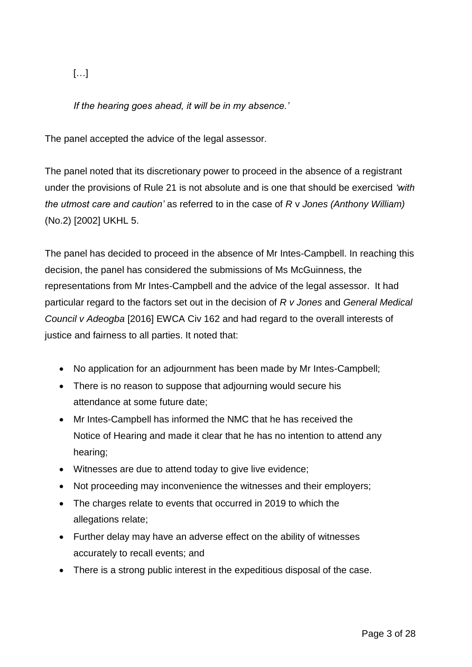[…]

*If the hearing goes ahead, it will be in my absence.'*

The panel accepted the advice of the legal assessor.

The panel noted that its discretionary power to proceed in the absence of a registrant under the provisions of Rule 21 is not absolute and is one that should be exercised *'with the utmost care and caution'* as referred to in the case of *R* v *Jones (Anthony William)* (No.2) [2002] UKHL 5.

The panel has decided to proceed in the absence of Mr Intes-Campbell. In reaching this decision, the panel has considered the submissions of Ms McGuinness, the representations from Mr Intes-Campbell and the advice of the legal assessor. It had particular regard to the factors set out in the decision of *R v Jones* and *General Medical Council v Adeogba* [2016] EWCA Civ 162 and had regard to the overall interests of justice and fairness to all parties. It noted that:

- No application for an adjournment has been made by Mr Intes-Campbell:
- There is no reason to suppose that adjourning would secure his attendance at some future date;
- Mr Intes-Campbell has informed the NMC that he has received the Notice of Hearing and made it clear that he has no intention to attend any hearing;
- Witnesses are due to attend today to give live evidence;
- Not proceeding may inconvenience the witnesses and their employers;
- The charges relate to events that occurred in 2019 to which the allegations relate;
- Further delay may have an adverse effect on the ability of witnesses accurately to recall events; and
- There is a strong public interest in the expeditious disposal of the case.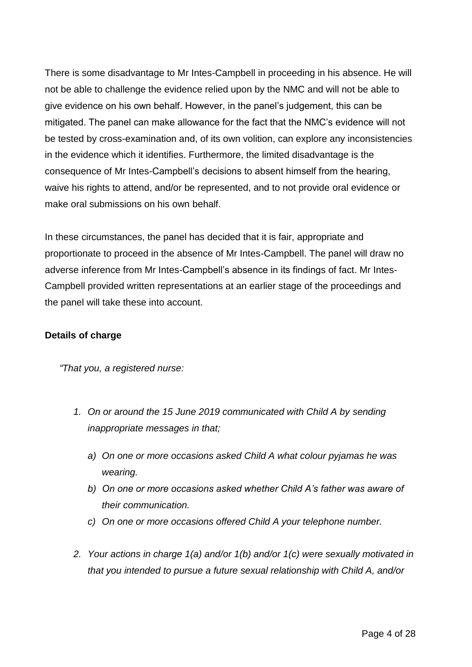There is some disadvantage to Mr Intes-Campbell in proceeding in his absence. He will not be able to challenge the evidence relied upon by the NMC and will not be able to give evidence on his own behalf. However, in the panel's judgement, this can be mitigated. The panel can make allowance for the fact that the NMC's evidence will not be tested by cross-examination and, of its own volition, can explore any inconsistencies in the evidence which it identifies. Furthermore, the limited disadvantage is the consequence of Mr Intes-Campbell's decisions to absent himself from the hearing, waive his rights to attend, and/or be represented, and to not provide oral evidence or make oral submissions on his own behalf.

In these circumstances, the panel has decided that it is fair, appropriate and proportionate to proceed in the absence of Mr Intes-Campbell. The panel will draw no adverse inference from Mr Intes-Campbell's absence in its findings of fact. Mr Intes-Campbell provided written representations at an earlier stage of the proceedings and the panel will take these into account.

#### **Details of charge**

*"That you, a registered nurse:*

- *1. On or around the 15 June 2019 communicated with Child A by sending inappropriate messages in that;*
	- *a) On one or more occasions asked Child A what colour pyjamas he was wearing.*
	- *b) On one or more occasions asked whether Child A's father was aware of their communication.*
	- *c) On one or more occasions offered Child A your telephone number.*
- *2. Your actions in charge 1(a) and/or 1(b) and/or 1(c) were sexually motivated in that you intended to pursue a future sexual relationship with Child A, and/or*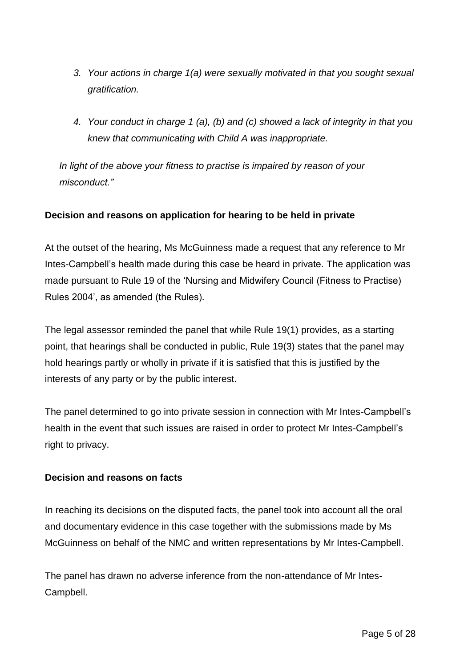- *3. Your actions in charge 1(a) were sexually motivated in that you sought sexual gratification.*
- *4. Your conduct in charge 1 (a), (b) and (c) showed a lack of integrity in that you knew that communicating with Child A was inappropriate.*

*In light of the above your fitness to practise is impaired by reason of your misconduct."*

# **Decision and reasons on application for hearing to be held in private**

At the outset of the hearing, Ms McGuinness made a request that any reference to Mr Intes-Campbell's health made during this case be heard in private. The application was made pursuant to Rule 19 of the 'Nursing and Midwifery Council (Fitness to Practise) Rules 2004', as amended (the Rules).

The legal assessor reminded the panel that while Rule 19(1) provides, as a starting point, that hearings shall be conducted in public, Rule 19(3) states that the panel may hold hearings partly or wholly in private if it is satisfied that this is justified by the interests of any party or by the public interest.

The panel determined to go into private session in connection with Mr Intes-Campbell's health in the event that such issues are raised in order to protect Mr Intes-Campbell's right to privacy.

## **Decision and reasons on facts**

In reaching its decisions on the disputed facts, the panel took into account all the oral and documentary evidence in this case together with the submissions made by Ms McGuinness on behalf of the NMC and written representations by Mr Intes-Campbell.

The panel has drawn no adverse inference from the non-attendance of Mr Intes-Campbell.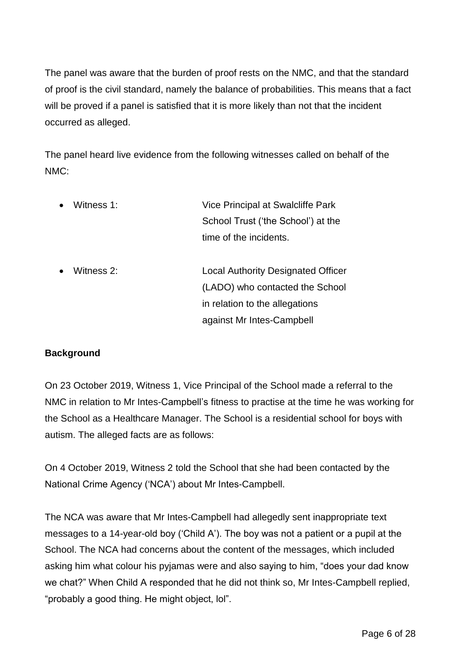The panel was aware that the burden of proof rests on the NMC, and that the standard of proof is the civil standard, namely the balance of probabilities. This means that a fact will be proved if a panel is satisfied that it is more likely than not that the incident occurred as alleged.

The panel heard live evidence from the following witnesses called on behalf of the NMC:

- Witness 1: Vice Principal at Swalcliffe Park School Trust ('the School') at the time of the incidents.
- Witness 2: Local Authority Designated Officer (LADO) who contacted the School in relation to the allegations against Mr Intes-Campbell

## **Background**

On 23 October 2019, Witness 1, Vice Principal of the School made a referral to the NMC in relation to Mr Intes-Campbell's fitness to practise at the time he was working for the School as a Healthcare Manager. The School is a residential school for boys with autism. The alleged facts are as follows:

On 4 October 2019, Witness 2 told the School that she had been contacted by the National Crime Agency ('NCA') about Mr Intes-Campbell.

The NCA was aware that Mr Intes-Campbell had allegedly sent inappropriate text messages to a 14-year-old boy ('Child A'). The boy was not a patient or a pupil at the School. The NCA had concerns about the content of the messages, which included asking him what colour his pyjamas were and also saying to him, "does your dad know we chat?" When Child A responded that he did not think so, Mr Intes-Campbell replied, "probably a good thing. He might object, lol".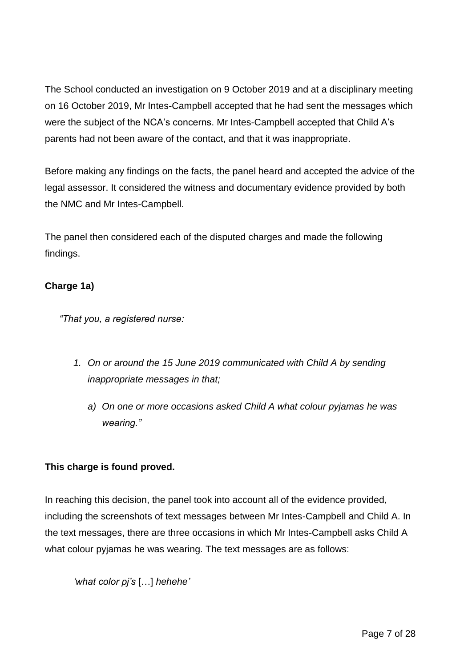The School conducted an investigation on 9 October 2019 and at a disciplinary meeting on 16 October 2019, Mr Intes-Campbell accepted that he had sent the messages which were the subject of the NCA's concerns. Mr Intes-Campbell accepted that Child A's parents had not been aware of the contact, and that it was inappropriate.

Before making any findings on the facts, the panel heard and accepted the advice of the legal assessor. It considered the witness and documentary evidence provided by both the NMC and Mr Intes-Campbell.

The panel then considered each of the disputed charges and made the following findings.

## **Charge 1a)**

*"That you, a registered nurse:*

- *1. On or around the 15 June 2019 communicated with Child A by sending inappropriate messages in that;*
	- *a) On one or more occasions asked Child A what colour pyjamas he was wearing."*

# **This charge is found proved.**

In reaching this decision, the panel took into account all of the evidence provided, including the screenshots of text messages between Mr Intes-Campbell and Child A. In the text messages, there are three occasions in which Mr Intes-Campbell asks Child A what colour pyjamas he was wearing. The text messages are as follows:

*'what color pj's* […] *hehehe'*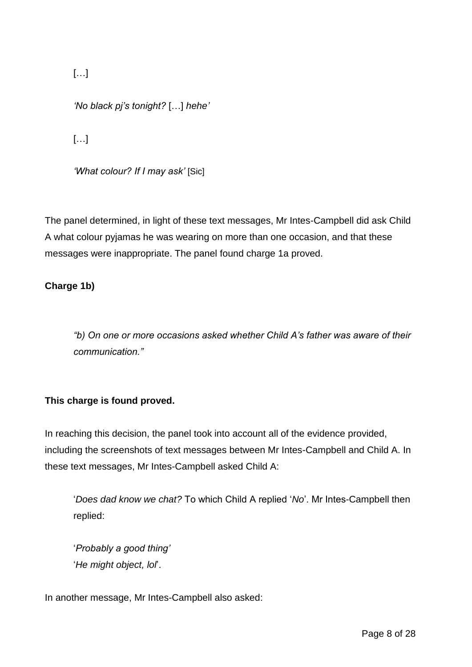[…]

*'No black pj's tonight?* […] *hehe'*

[…]

*'What colour? If I may ask'* [Sic]

The panel determined, in light of these text messages, Mr Intes-Campbell did ask Child A what colour pyjamas he was wearing on more than one occasion, and that these messages were inappropriate. The panel found charge 1a proved.

## **Charge 1b)**

*"b) On one or more occasions asked whether Child A's father was aware of their communication."*

## **This charge is found proved.**

In reaching this decision, the panel took into account all of the evidence provided, including the screenshots of text messages between Mr Intes-Campbell and Child A. In these text messages, Mr Intes-Campbell asked Child A:

'*Does dad know we chat?* To which Child A replied '*No*'. Mr Intes-Campbell then replied:

'*Probably a good thing'* '*He might object, lol*'.

In another message, Mr Intes-Campbell also asked: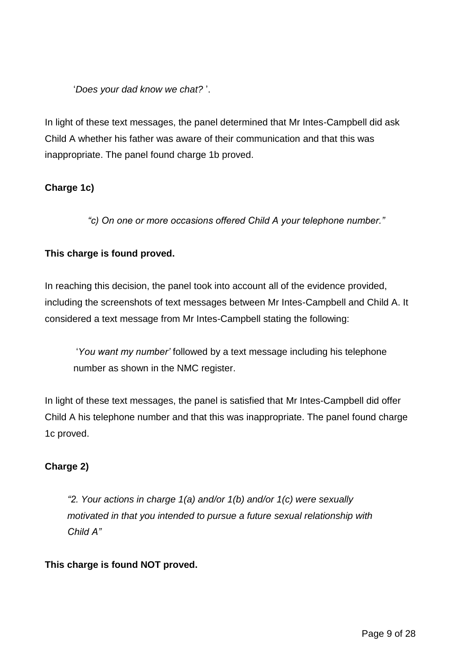'*Does your dad know we chat?* '.

In light of these text messages, the panel determined that Mr Intes-Campbell did ask Child A whether his father was aware of their communication and that this was inappropriate. The panel found charge 1b proved.

# **Charge 1c)**

*"c) On one or more occasions offered Child A your telephone number."*

# **This charge is found proved.**

In reaching this decision, the panel took into account all of the evidence provided, including the screenshots of text messages between Mr Intes-Campbell and Child A. It considered a text message from Mr Intes-Campbell stating the following:

'*You want my number'* followed by a text message including his telephone number as shown in the NMC register.

In light of these text messages, the panel is satisfied that Mr Intes-Campbell did offer Child A his telephone number and that this was inappropriate. The panel found charge 1c proved.

# **Charge 2)**

*"2. Your actions in charge 1(a) and/or 1(b) and/or 1(c) were sexually motivated in that you intended to pursue a future sexual relationship with Child A"*

## **This charge is found NOT proved.**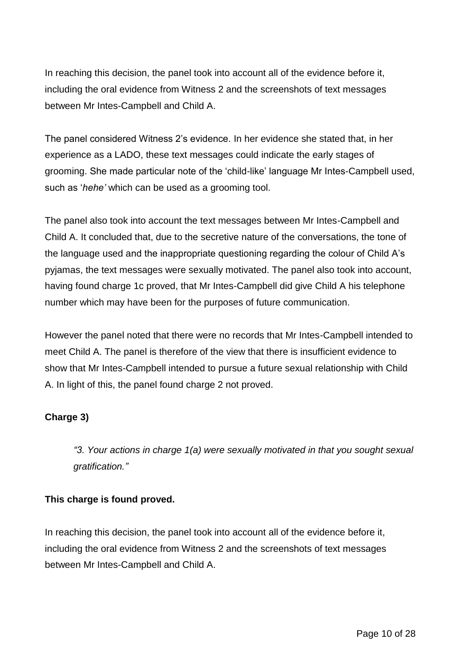In reaching this decision, the panel took into account all of the evidence before it, including the oral evidence from Witness 2 and the screenshots of text messages between Mr Intes-Campbell and Child A.

The panel considered Witness 2's evidence. In her evidence she stated that, in her experience as a LADO, these text messages could indicate the early stages of grooming. She made particular note of the 'child-like' language Mr Intes-Campbell used, such as '*hehe'* which can be used as a grooming tool.

The panel also took into account the text messages between Mr Intes-Campbell and Child A. It concluded that, due to the secretive nature of the conversations, the tone of the language used and the inappropriate questioning regarding the colour of Child A's pyjamas, the text messages were sexually motivated. The panel also took into account, having found charge 1c proved, that Mr Intes-Campbell did give Child A his telephone number which may have been for the purposes of future communication.

However the panel noted that there were no records that Mr Intes-Campbell intended to meet Child A. The panel is therefore of the view that there is insufficient evidence to show that Mr Intes-Campbell intended to pursue a future sexual relationship with Child A. In light of this, the panel found charge 2 not proved.

## **Charge 3)**

*"3. Your actions in charge 1(a) were sexually motivated in that you sought sexual gratification."*

## **This charge is found proved.**

In reaching this decision, the panel took into account all of the evidence before it, including the oral evidence from Witness 2 and the screenshots of text messages between Mr Intes-Campbell and Child A.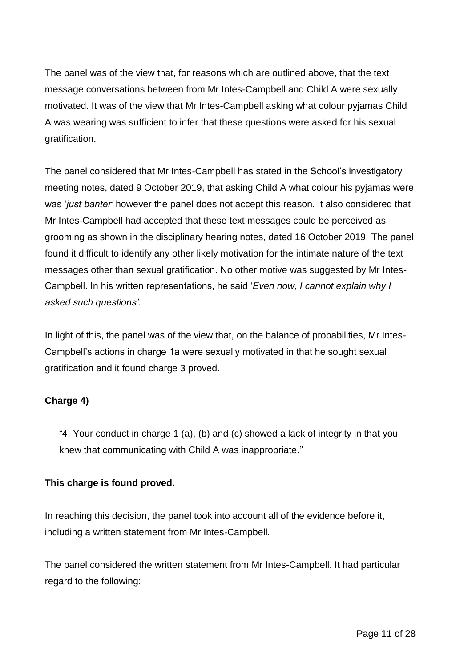The panel was of the view that, for reasons which are outlined above, that the text message conversations between from Mr Intes-Campbell and Child A were sexually motivated. It was of the view that Mr Intes-Campbell asking what colour pyjamas Child A was wearing was sufficient to infer that these questions were asked for his sexual gratification.

The panel considered that Mr Intes-Campbell has stated in the School's investigatory meeting notes, dated 9 October 2019, that asking Child A what colour his pyjamas were was '*just banter'* however the panel does not accept this reason. It also considered that Mr Intes-Campbell had accepted that these text messages could be perceived as grooming as shown in the disciplinary hearing notes, dated 16 October 2019. The panel found it difficult to identify any other likely motivation for the intimate nature of the text messages other than sexual gratification. No other motive was suggested by Mr Intes-Campbell. In his written representations, he said '*Even now, I cannot explain why I asked such questions'*.

In light of this, the panel was of the view that, on the balance of probabilities, Mr Intes-Campbell's actions in charge 1a were sexually motivated in that he sought sexual gratification and it found charge 3 proved.

## **Charge 4)**

"4. Your conduct in charge 1 (a), (b) and (c) showed a lack of integrity in that you knew that communicating with Child A was inappropriate."

## **This charge is found proved.**

In reaching this decision, the panel took into account all of the evidence before it, including a written statement from Mr Intes-Campbell.

The panel considered the written statement from Mr Intes-Campbell. It had particular regard to the following: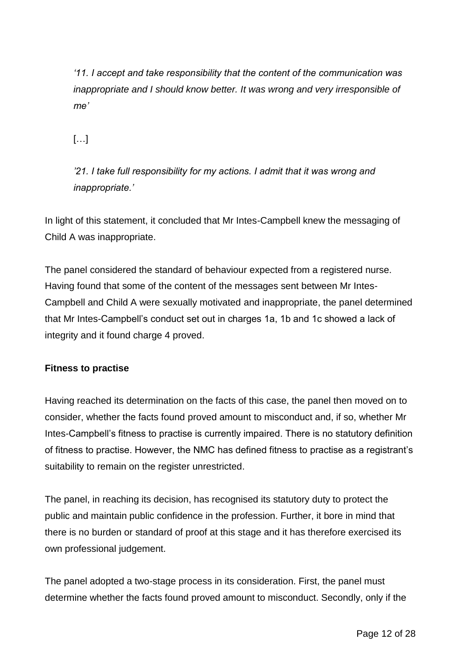*'11. I accept and take responsibility that the content of the communication was inappropriate and I should know better. It was wrong and very irresponsible of me'*

[…]

*'21. I take full responsibility for my actions. I admit that it was wrong and inappropriate.'*

In light of this statement, it concluded that Mr Intes-Campbell knew the messaging of Child A was inappropriate.

The panel considered the standard of behaviour expected from a registered nurse. Having found that some of the content of the messages sent between Mr Intes-Campbell and Child A were sexually motivated and inappropriate, the panel determined that Mr Intes-Campbell's conduct set out in charges 1a, 1b and 1c showed a lack of integrity and it found charge 4 proved.

## **Fitness to practise**

Having reached its determination on the facts of this case, the panel then moved on to consider, whether the facts found proved amount to misconduct and, if so, whether Mr Intes-Campbell's fitness to practise is currently impaired. There is no statutory definition of fitness to practise. However, the NMC has defined fitness to practise as a registrant's suitability to remain on the register unrestricted.

The panel, in reaching its decision, has recognised its statutory duty to protect the public and maintain public confidence in the profession. Further, it bore in mind that there is no burden or standard of proof at this stage and it has therefore exercised its own professional judgement.

The panel adopted a two-stage process in its consideration. First, the panel must determine whether the facts found proved amount to misconduct. Secondly, only if the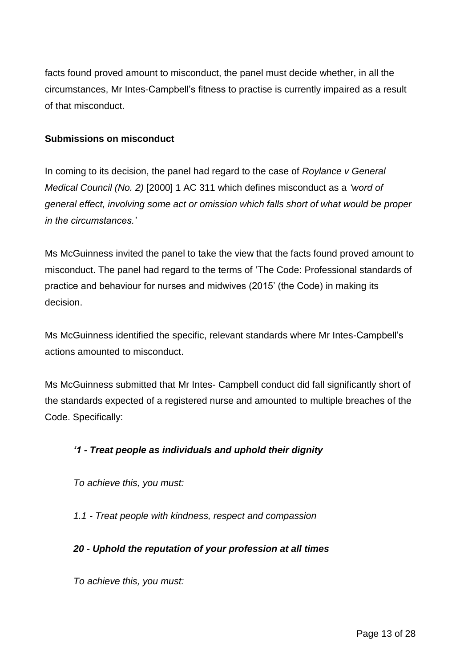facts found proved amount to misconduct, the panel must decide whether, in all the circumstances, Mr Intes-Campbell's fitness to practise is currently impaired as a result of that misconduct.

#### **Submissions on misconduct**

In coming to its decision, the panel had regard to the case of *Roylance v General Medical Council (No. 2)* [2000] 1 AC 311 which defines misconduct as a *'word of general effect, involving some act or omission which falls short of what would be proper in the circumstances.'*

Ms McGuinness invited the panel to take the view that the facts found proved amount to misconduct. The panel had regard to the terms of 'The Code: Professional standards of practice and behaviour for nurses and midwives (2015' (the Code) in making its decision.

Ms McGuinness identified the specific, relevant standards where Mr Intes-Campbell's actions amounted to misconduct.

Ms McGuinness submitted that Mr Intes- Campbell conduct did fall significantly short of the standards expected of a registered nurse and amounted to multiple breaches of the Code. Specifically:

## *'1 - Treat people as individuals and uphold their dignity*

*To achieve this, you must:* 

*1.1 - Treat people with kindness, respect and compassion* 

## *20 - Uphold the reputation of your profession at all times*

*To achieve this, you must:*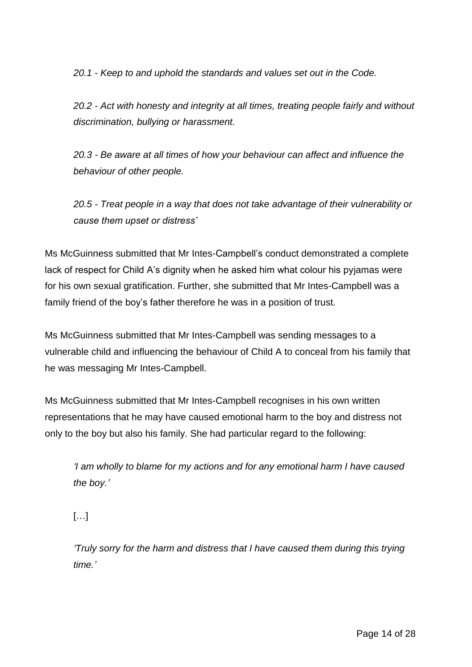*20.1 - Keep to and uphold the standards and values set out in the Code.* 

*20.2 - Act with honesty and integrity at all times, treating people fairly and without discrimination, bullying or harassment.*

*20.3 - Be aware at all times of how your behaviour can affect and influence the behaviour of other people.*

*20.5 - Treat people in a way that does not take advantage of their vulnerability or cause them upset or distress'*

Ms McGuinness submitted that Mr Intes-Campbell's conduct demonstrated a complete lack of respect for Child A's dignity when he asked him what colour his pyjamas were for his own sexual gratification. Further, she submitted that Mr Intes-Campbell was a family friend of the boy's father therefore he was in a position of trust.

Ms McGuinness submitted that Mr Intes-Campbell was sending messages to a vulnerable child and influencing the behaviour of Child A to conceal from his family that he was messaging Mr Intes-Campbell.

Ms McGuinness submitted that Mr Intes-Campbell recognises in his own written representations that he may have caused emotional harm to the boy and distress not only to the boy but also his family. She had particular regard to the following:

*'I am wholly to blame for my actions and for any emotional harm I have caused the boy.'*

[…]

*'Truly sorry for the harm and distress that I have caused them during this trying time.'*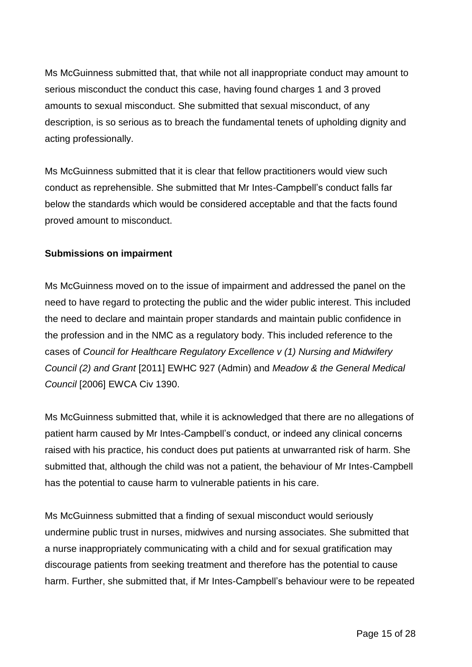Ms McGuinness submitted that, that while not all inappropriate conduct may amount to serious misconduct the conduct this case, having found charges 1 and 3 proved amounts to sexual misconduct. She submitted that sexual misconduct, of any description, is so serious as to breach the fundamental tenets of upholding dignity and acting professionally.

Ms McGuinness submitted that it is clear that fellow practitioners would view such conduct as reprehensible. She submitted that Mr Intes-Campbell's conduct falls far below the standards which would be considered acceptable and that the facts found proved amount to misconduct.

#### **Submissions on impairment**

Ms McGuinness moved on to the issue of impairment and addressed the panel on the need to have regard to protecting the public and the wider public interest. This included the need to declare and maintain proper standards and maintain public confidence in the profession and in the NMC as a regulatory body. This included reference to the cases of *Council for Healthcare Regulatory Excellence v (1) Nursing and Midwifery Council (2) and Grant* [2011] EWHC 927 (Admin) and *Meadow & the General Medical Council* [2006] EWCA Civ 1390.

Ms McGuinness submitted that, while it is acknowledged that there are no allegations of patient harm caused by Mr Intes-Campbell's conduct, or indeed any clinical concerns raised with his practice, his conduct does put patients at unwarranted risk of harm. She submitted that, although the child was not a patient, the behaviour of Mr Intes-Campbell has the potential to cause harm to vulnerable patients in his care.

Ms McGuinness submitted that a finding of sexual misconduct would seriously undermine public trust in nurses, midwives and nursing associates. She submitted that a nurse inappropriately communicating with a child and for sexual gratification may discourage patients from seeking treatment and therefore has the potential to cause harm. Further, she submitted that, if Mr Intes-Campbell's behaviour were to be repeated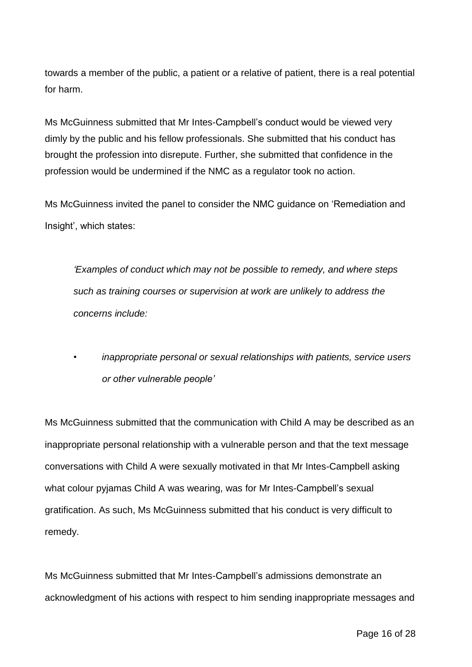towards a member of the public, a patient or a relative of patient, there is a real potential for harm.

Ms McGuinness submitted that Mr Intes-Campbell's conduct would be viewed very dimly by the public and his fellow professionals. She submitted that his conduct has brought the profession into disrepute. Further, she submitted that confidence in the profession would be undermined if the NMC as a regulator took no action.

Ms McGuinness invited the panel to consider the NMC guidance on 'Remediation and Insight', which states:

*'Examples of conduct which may not be possible to remedy, and where steps such as training courses or supervision at work are unlikely to address the concerns include:*

*• inappropriate personal or sexual relationships with patients, service users or other vulnerable people'*

Ms McGuinness submitted that the communication with Child A may be described as an inappropriate personal relationship with a vulnerable person and that the text message conversations with Child A were sexually motivated in that Mr Intes-Campbell asking what colour pyjamas Child A was wearing, was for Mr Intes-Campbell's sexual gratification. As such, Ms McGuinness submitted that his conduct is very difficult to remedy.

Ms McGuinness submitted that Mr Intes-Campbell's admissions demonstrate an acknowledgment of his actions with respect to him sending inappropriate messages and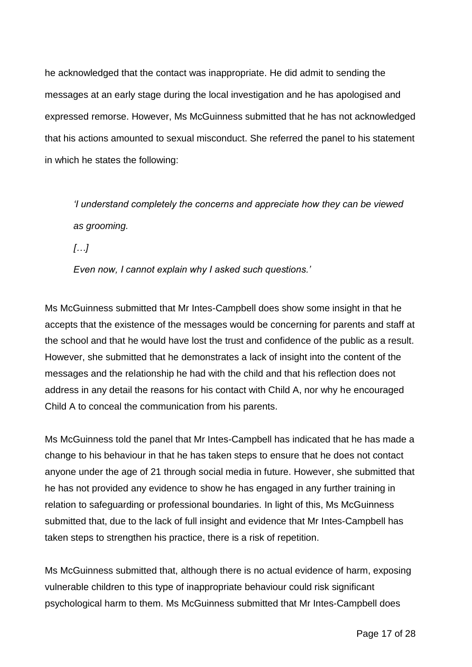he acknowledged that the contact was inappropriate. He did admit to sending the messages at an early stage during the local investigation and he has apologised and expressed remorse. However, Ms McGuinness submitted that he has not acknowledged that his actions amounted to sexual misconduct. She referred the panel to his statement in which he states the following:

*'I understand completely the concerns and appreciate how they can be viewed as grooming.*

*[…]*

*Even now, I cannot explain why I asked such questions.'*

Ms McGuinness submitted that Mr Intes-Campbell does show some insight in that he accepts that the existence of the messages would be concerning for parents and staff at the school and that he would have lost the trust and confidence of the public as a result. However, she submitted that he demonstrates a lack of insight into the content of the messages and the relationship he had with the child and that his reflection does not address in any detail the reasons for his contact with Child A, nor why he encouraged Child A to conceal the communication from his parents.

Ms McGuinness told the panel that Mr Intes-Campbell has indicated that he has made a change to his behaviour in that he has taken steps to ensure that he does not contact anyone under the age of 21 through social media in future. However, she submitted that he has not provided any evidence to show he has engaged in any further training in relation to safeguarding or professional boundaries. In light of this, Ms McGuinness submitted that, due to the lack of full insight and evidence that Mr Intes-Campbell has taken steps to strengthen his practice, there is a risk of repetition.

Ms McGuinness submitted that, although there is no actual evidence of harm, exposing vulnerable children to this type of inappropriate behaviour could risk significant psychological harm to them. Ms McGuinness submitted that Mr Intes-Campbell does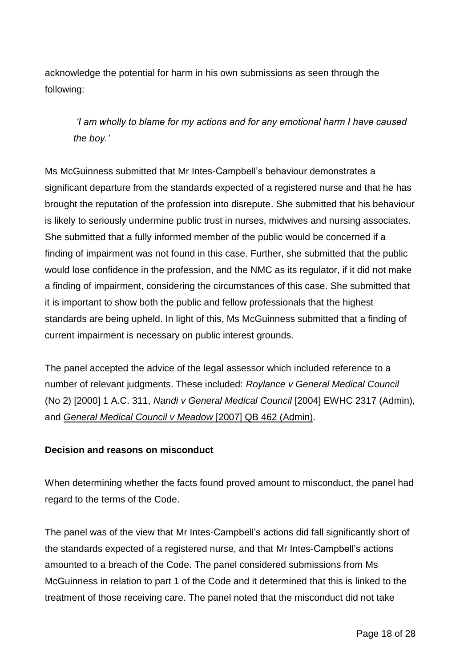acknowledge the potential for harm in his own submissions as seen through the following:

*'I am wholly to blame for my actions and for any emotional harm I have caused the boy.'*

Ms McGuinness submitted that Mr Intes-Campbell's behaviour demonstrates a significant departure from the standards expected of a registered nurse and that he has brought the reputation of the profession into disrepute. She submitted that his behaviour is likely to seriously undermine public trust in nurses, midwives and nursing associates. She submitted that a fully informed member of the public would be concerned if a finding of impairment was not found in this case. Further, she submitted that the public would lose confidence in the profession, and the NMC as its regulator, if it did not make a finding of impairment, considering the circumstances of this case. She submitted that it is important to show both the public and fellow professionals that the highest standards are being upheld. In light of this, Ms McGuinness submitted that a finding of current impairment is necessary on public interest grounds.

The panel accepted the advice of the legal assessor which included reference to a number of relevant judgments. These included: *Roylance v General Medical Council* (No 2) [2000] 1 A.C. 311, *Nandi v General Medical Council* [2004] EWHC 2317 (Admin), and *General Medical Council v Meadow* [2007] QB 462 (Admin).

## **Decision and reasons on misconduct**

When determining whether the facts found proved amount to misconduct, the panel had regard to the terms of the Code.

The panel was of the view that Mr Intes-Campbell's actions did fall significantly short of the standards expected of a registered nurse, and that Mr Intes-Campbell's actions amounted to a breach of the Code. The panel considered submissions from Ms McGuinness in relation to part 1 of the Code and it determined that this is linked to the treatment of those receiving care. The panel noted that the misconduct did not take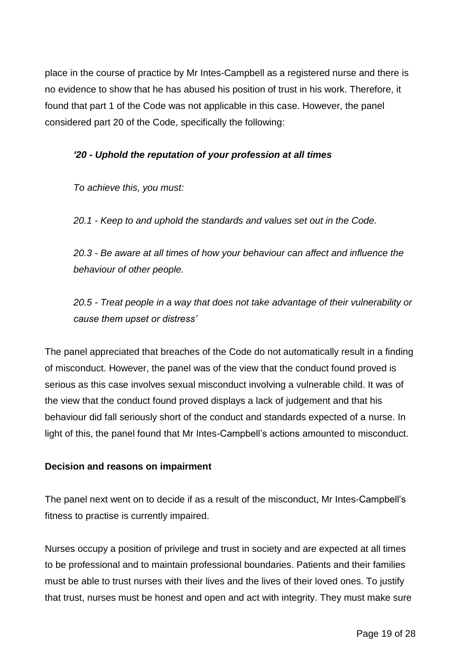place in the course of practice by Mr Intes-Campbell as a registered nurse and there is no evidence to show that he has abused his position of trust in his work. Therefore, it found that part 1 of the Code was not applicable in this case. However, the panel considered part 20 of the Code, specifically the following:

# *'20 - Uphold the reputation of your profession at all times*

*To achieve this, you must:* 

*20.1 - Keep to and uphold the standards and values set out in the Code.* 

*20.3 - Be aware at all times of how your behaviour can affect and influence the behaviour of other people.*

*20.5 - Treat people in a way that does not take advantage of their vulnerability or cause them upset or distress'*

The panel appreciated that breaches of the Code do not automatically result in a finding of misconduct. However, the panel was of the view that the conduct found proved is serious as this case involves sexual misconduct involving a vulnerable child. It was of the view that the conduct found proved displays a lack of judgement and that his behaviour did fall seriously short of the conduct and standards expected of a nurse. In light of this, the panel found that Mr Intes-Campbell's actions amounted to misconduct.

## **Decision and reasons on impairment**

The panel next went on to decide if as a result of the misconduct, Mr Intes-Campbell's fitness to practise is currently impaired.

Nurses occupy a position of privilege and trust in society and are expected at all times to be professional and to maintain professional boundaries. Patients and their families must be able to trust nurses with their lives and the lives of their loved ones. To justify that trust, nurses must be honest and open and act with integrity. They must make sure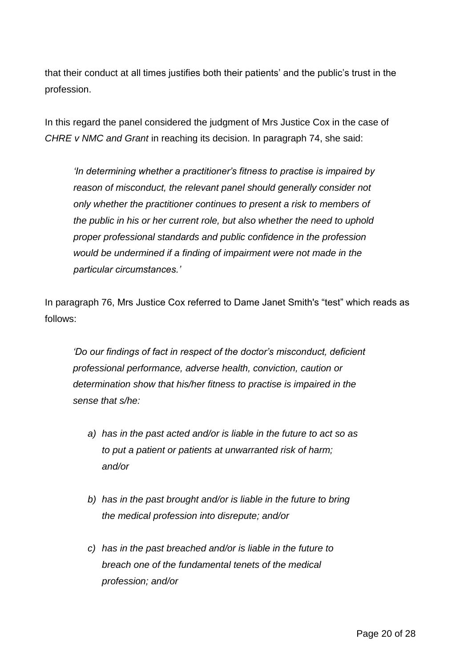that their conduct at all times justifies both their patients' and the public's trust in the profession.

In this regard the panel considered the judgment of Mrs Justice Cox in the case of *CHRE v NMC and Grant* in reaching its decision. In paragraph 74, she said:

*'In determining whether a practitioner's fitness to practise is impaired by reason of misconduct, the relevant panel should generally consider not only whether the practitioner continues to present a risk to members of the public in his or her current role, but also whether the need to uphold proper professional standards and public confidence in the profession would be undermined if a finding of impairment were not made in the particular circumstances.'*

In paragraph 76, Mrs Justice Cox referred to Dame Janet Smith's "test" which reads as follows:

*'Do our findings of fact in respect of the doctor's misconduct, deficient professional performance, adverse health, conviction, caution or determination show that his/her fitness to practise is impaired in the sense that s/he:*

- *a) has in the past acted and/or is liable in the future to act so as to put a patient or patients at unwarranted risk of harm; and/or*
- *b) has in the past brought and/or is liable in the future to bring the medical profession into disrepute; and/or*
- *c) has in the past breached and/or is liable in the future to breach one of the fundamental tenets of the medical profession; and/or*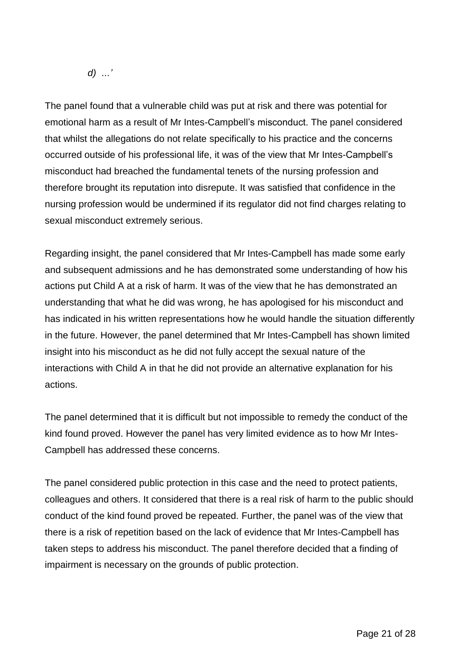*d) ...'*

The panel found that a vulnerable child was put at risk and there was potential for emotional harm as a result of Mr Intes-Campbell's misconduct. The panel considered that whilst the allegations do not relate specifically to his practice and the concerns occurred outside of his professional life, it was of the view that Mr Intes-Campbell's misconduct had breached the fundamental tenets of the nursing profession and therefore brought its reputation into disrepute. It was satisfied that confidence in the nursing profession would be undermined if its regulator did not find charges relating to sexual misconduct extremely serious.

Regarding insight, the panel considered that Mr Intes-Campbell has made some early and subsequent admissions and he has demonstrated some understanding of how his actions put Child A at a risk of harm. It was of the view that he has demonstrated an understanding that what he did was wrong, he has apologised for his misconduct and has indicated in his written representations how he would handle the situation differently in the future. However, the panel determined that Mr Intes-Campbell has shown limited insight into his misconduct as he did not fully accept the sexual nature of the interactions with Child A in that he did not provide an alternative explanation for his actions.

The panel determined that it is difficult but not impossible to remedy the conduct of the kind found proved. However the panel has very limited evidence as to how Mr Intes-Campbell has addressed these concerns.

The panel considered public protection in this case and the need to protect patients, colleagues and others. It considered that there is a real risk of harm to the public should conduct of the kind found proved be repeated. Further, the panel was of the view that there is a risk of repetition based on the lack of evidence that Mr Intes-Campbell has taken steps to address his misconduct. The panel therefore decided that a finding of impairment is necessary on the grounds of public protection.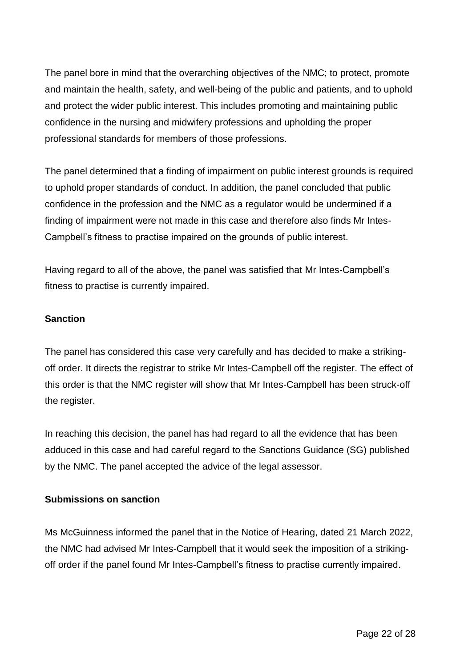The panel bore in mind that the overarching objectives of the NMC; to protect, promote and maintain the health, safety, and well-being of the public and patients, and to uphold and protect the wider public interest. This includes promoting and maintaining public confidence in the nursing and midwifery professions and upholding the proper professional standards for members of those professions.

The panel determined that a finding of impairment on public interest grounds is required to uphold proper standards of conduct. In addition, the panel concluded that public confidence in the profession and the NMC as a regulator would be undermined if a finding of impairment were not made in this case and therefore also finds Mr Intes-Campbell's fitness to practise impaired on the grounds of public interest.

Having regard to all of the above, the panel was satisfied that Mr Intes-Campbell's fitness to practise is currently impaired.

## **Sanction**

The panel has considered this case very carefully and has decided to make a strikingoff order. It directs the registrar to strike Mr Intes-Campbell off the register. The effect of this order is that the NMC register will show that Mr Intes-Campbell has been struck-off the register.

In reaching this decision, the panel has had regard to all the evidence that has been adduced in this case and had careful regard to the Sanctions Guidance (SG) published by the NMC. The panel accepted the advice of the legal assessor.

## **Submissions on sanction**

Ms McGuinness informed the panel that in the Notice of Hearing, dated 21 March 2022, the NMC had advised Mr Intes-Campbell that it would seek the imposition of a strikingoff order if the panel found Mr Intes-Campbell's fitness to practise currently impaired.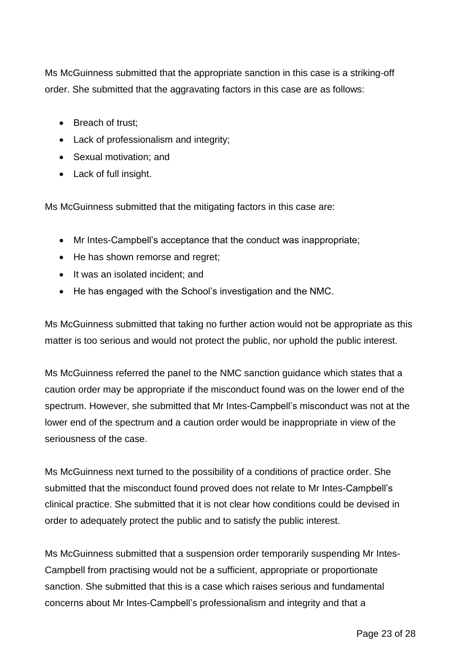Ms McGuinness submitted that the appropriate sanction in this case is a striking-off order. She submitted that the aggravating factors in this case are as follows:

- Breach of trust:
- Lack of professionalism and integrity;
- Sexual motivation; and
- Lack of full insight.

Ms McGuinness submitted that the mitigating factors in this case are:

- Mr Intes-Campbell's acceptance that the conduct was inappropriate;
- He has shown remorse and regret;
- It was an isolated incident; and
- He has engaged with the School's investigation and the NMC.

Ms McGuinness submitted that taking no further action would not be appropriate as this matter is too serious and would not protect the public, nor uphold the public interest.

Ms McGuinness referred the panel to the NMC sanction guidance which states that a caution order may be appropriate if the misconduct found was on the lower end of the spectrum. However, she submitted that Mr Intes-Campbell's misconduct was not at the lower end of the spectrum and a caution order would be inappropriate in view of the seriousness of the case.

Ms McGuinness next turned to the possibility of a conditions of practice order. She submitted that the misconduct found proved does not relate to Mr Intes-Campbell's clinical practice. She submitted that it is not clear how conditions could be devised in order to adequately protect the public and to satisfy the public interest.

Ms McGuinness submitted that a suspension order temporarily suspending Mr Intes-Campbell from practising would not be a sufficient, appropriate or proportionate sanction. She submitted that this is a case which raises serious and fundamental concerns about Mr Intes-Campbell's professionalism and integrity and that a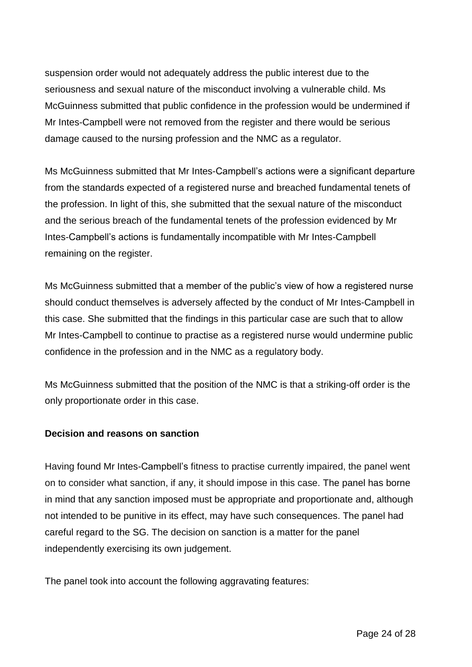suspension order would not adequately address the public interest due to the seriousness and sexual nature of the misconduct involving a vulnerable child. Ms McGuinness submitted that public confidence in the profession would be undermined if Mr Intes-Campbell were not removed from the register and there would be serious damage caused to the nursing profession and the NMC as a regulator.

Ms McGuinness submitted that Mr Intes-Campbell's actions were a significant departure from the standards expected of a registered nurse and breached fundamental tenets of the profession. In light of this, she submitted that the sexual nature of the misconduct and the serious breach of the fundamental tenets of the profession evidenced by Mr Intes-Campbell's actions is fundamentally incompatible with Mr Intes-Campbell remaining on the register.

Ms McGuinness submitted that a member of the public's view of how a registered nurse should conduct themselves is adversely affected by the conduct of Mr Intes-Campbell in this case. She submitted that the findings in this particular case are such that to allow Mr Intes-Campbell to continue to practise as a registered nurse would undermine public confidence in the profession and in the NMC as a regulatory body.

Ms McGuinness submitted that the position of the NMC is that a striking-off order is the only proportionate order in this case.

#### **Decision and reasons on sanction**

Having found Mr Intes-Campbell's fitness to practise currently impaired, the panel went on to consider what sanction, if any, it should impose in this case. The panel has borne in mind that any sanction imposed must be appropriate and proportionate and, although not intended to be punitive in its effect, may have such consequences. The panel had careful regard to the SG. The decision on sanction is a matter for the panel independently exercising its own judgement.

The panel took into account the following aggravating features: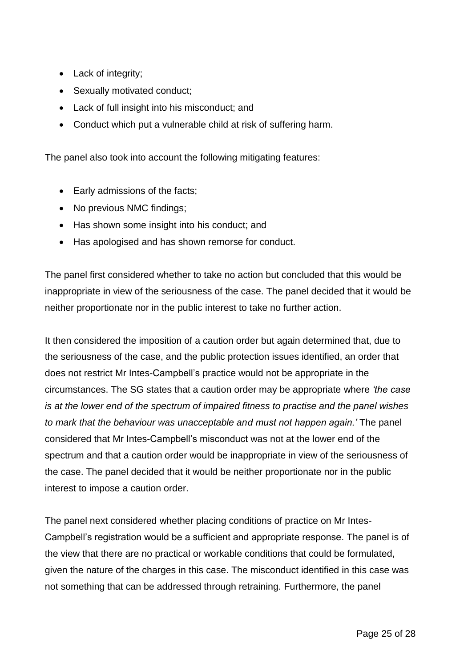- Lack of integrity;
- Sexually motivated conduct;
- Lack of full insight into his misconduct; and
- Conduct which put a vulnerable child at risk of suffering harm.

The panel also took into account the following mitigating features:

- Early admissions of the facts;
- No previous NMC findings;
- Has shown some insight into his conduct; and
- Has apologised and has shown remorse for conduct.

The panel first considered whether to take no action but concluded that this would be inappropriate in view of the seriousness of the case. The panel decided that it would be neither proportionate nor in the public interest to take no further action.

It then considered the imposition of a caution order but again determined that, due to the seriousness of the case, and the public protection issues identified, an order that does not restrict Mr Intes-Campbell's practice would not be appropriate in the circumstances. The SG states that a caution order may be appropriate where *'the case is at the lower end of the spectrum of impaired fitness to practise and the panel wishes to mark that the behaviour was unacceptable and must not happen again.'* The panel considered that Mr Intes-Campbell's misconduct was not at the lower end of the spectrum and that a caution order would be inappropriate in view of the seriousness of the case. The panel decided that it would be neither proportionate nor in the public interest to impose a caution order.

The panel next considered whether placing conditions of practice on Mr Intes-Campbell's registration would be a sufficient and appropriate response. The panel is of the view that there are no practical or workable conditions that could be formulated, given the nature of the charges in this case. The misconduct identified in this case was not something that can be addressed through retraining. Furthermore, the panel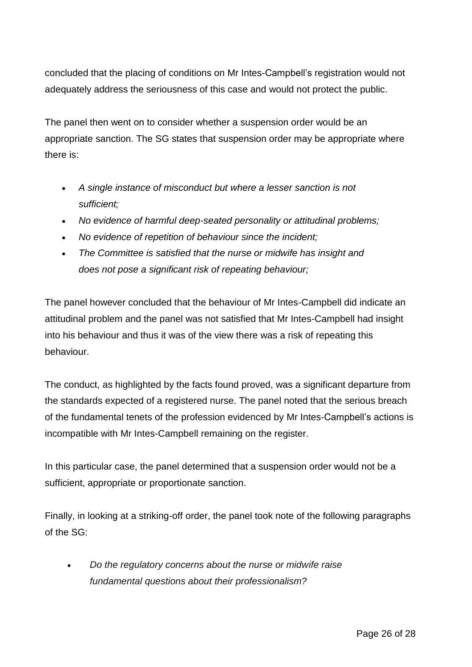concluded that the placing of conditions on Mr Intes-Campbell's registration would not adequately address the seriousness of this case and would not protect the public.

The panel then went on to consider whether a suspension order would be an appropriate sanction. The SG states that suspension order may be appropriate where there is:

- *A single instance of misconduct but where a lesser sanction is not sufficient;*
- *No evidence of harmful deep-seated personality or attitudinal problems;*
- *No evidence of repetition of behaviour since the incident;*
- *The Committee is satisfied that the nurse or midwife has insight and does not pose a significant risk of repeating behaviour;*

The panel however concluded that the behaviour of Mr Intes-Campbell did indicate an attitudinal problem and the panel was not satisfied that Mr Intes-Campbell had insight into his behaviour and thus it was of the view there was a risk of repeating this behaviour.

The conduct, as highlighted by the facts found proved, was a significant departure from the standards expected of a registered nurse. The panel noted that the serious breach of the fundamental tenets of the profession evidenced by Mr Intes-Campbell's actions is incompatible with Mr Intes-Campbell remaining on the register.

In this particular case, the panel determined that a suspension order would not be a sufficient, appropriate or proportionate sanction.

Finally, in looking at a striking-off order, the panel took note of the following paragraphs of the SG:

 *Do the regulatory concerns about the nurse or midwife raise fundamental questions about their professionalism?*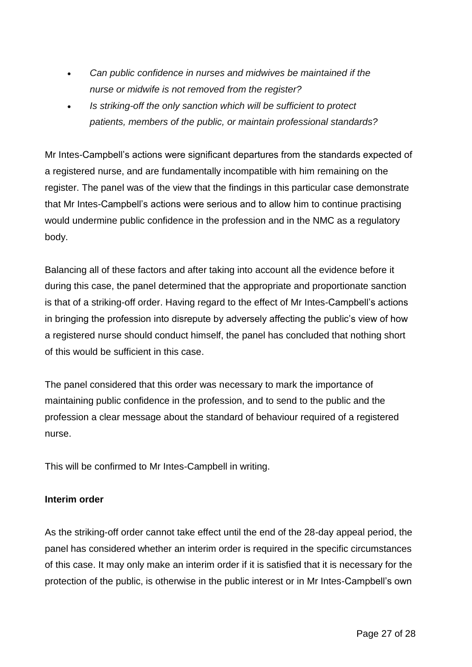- *Can public confidence in nurses and midwives be maintained if the nurse or midwife is not removed from the register?*
- *Is striking-off the only sanction which will be sufficient to protect patients, members of the public, or maintain professional standards?*

Mr Intes-Campbell's actions were significant departures from the standards expected of a registered nurse, and are fundamentally incompatible with him remaining on the register. The panel was of the view that the findings in this particular case demonstrate that Mr Intes-Campbell's actions were serious and to allow him to continue practising would undermine public confidence in the profession and in the NMC as a regulatory body.

Balancing all of these factors and after taking into account all the evidence before it during this case, the panel determined that the appropriate and proportionate sanction is that of a striking-off order. Having regard to the effect of Mr Intes-Campbell's actions in bringing the profession into disrepute by adversely affecting the public's view of how a registered nurse should conduct himself, the panel has concluded that nothing short of this would be sufficient in this case.

The panel considered that this order was necessary to mark the importance of maintaining public confidence in the profession, and to send to the public and the profession a clear message about the standard of behaviour required of a registered nurse.

This will be confirmed to Mr Intes-Campbell in writing.

## **Interim order**

As the striking-off order cannot take effect until the end of the 28-day appeal period, the panel has considered whether an interim order is required in the specific circumstances of this case. It may only make an interim order if it is satisfied that it is necessary for the protection of the public, is otherwise in the public interest or in Mr Intes-Campbell's own